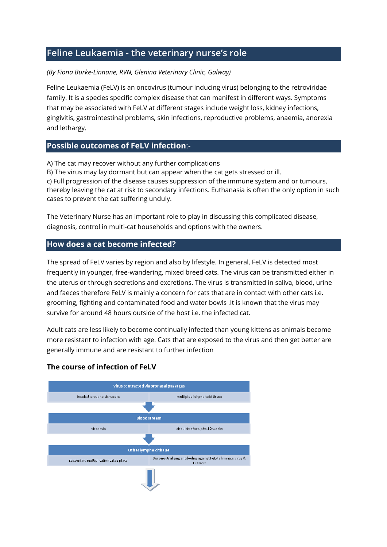# **Feline Leukaemia - the veterinary nurse's role**

#### *(By Fiona Burke-Linnane, RVN, Glenina Veterinary Clinic, Galway)*

Feline Leukaemia (FeLV) is an oncovirus (tumour inducing virus) belonging to the retroviridae family. It is a species specific complex disease that can manifest in different ways. Symptoms that may be associated with FeLV at different stages include weight loss, kidney infections, gingivitis, gastrointestinal problems, skin infections, reproductive problems, anaemia, anorexia and lethargy.

## **Possible outcomes of FeLV infection**:-

A) The cat may recover without any further complications

B) The virus may lay dormant but can appear when the cat gets stressed or ill. c) Full progression of the disease causes suppression of the immune system and or tumours, thereby leaving the cat at risk to secondary infections. Euthanasia is often the only option in such cases to prevent the cat suffering unduly.

The Veterinary Nurse has an important role to play in discussing this complicated disease, diagnosis, control in multi-cat households and options with the owners.

## **How does a cat become infected?**

The spread of FeLV varies by region and also by lifestyle. In general, FeLV is detected most frequently in younger, free-wandering, mixed breed cats. The virus can be transmitted either in the uterus or through secretions and excretions. The virus is transmitted in saliva, blood, urine and faeces therefore FeLV is mainly a concern for cats that are in contact with other cats i.e. grooming, fighting and contaminated food and water bowls .It is known that the virus may survive for around 48 hours outside of the host i.e. the infected cat.

Adult cats are less likely to become continually infected than young kittens as animals become more resistant to infection with age. Cats that are exposed to the virus and then get better are generally immune and are resistant to further infection

## **The course of infection of FeLV**

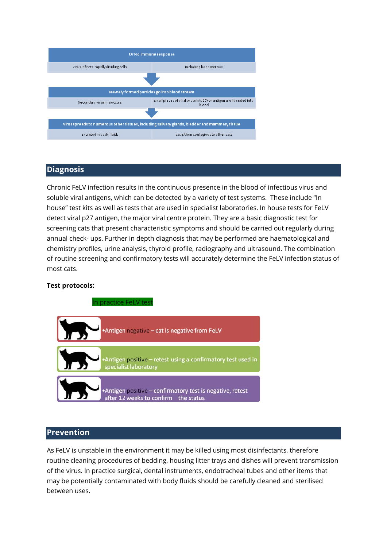

#### **Diagnosis**

Chronic FeLV infection results in the continuous presence in the blood of infectious virus and soluble viral antigens, which can be detected by a variety of test systems. These include "In house" test kits as well as tests that are used in specialist laboratories. In house tests for FeLV detect viral p27 antigen, the major viral centre protein. They are a basic diagnostic test for screening cats that present characteristic symptoms and should be carried out regularly during annual check- ups. Further in depth diagnosis that may be performed are haematological and chemistry profiles, urine analysis, thyroid profile, radiography and ultrasound. The combination of routine screening and confirmatory tests will accurately determine the FeLV infection status of most cats.

#### **Test protocols:**



#### **Prevention**

As FeLV is unstable in the environment it may be killed using most disinfectants, therefore routine cleaning procedures of bedding, housing litter trays and dishes will prevent transmission of the virus. In practice surgical, dental instruments, endotracheal tubes and other items that may be potentially contaminated with body fluids should be carefully cleaned and sterilised between uses.